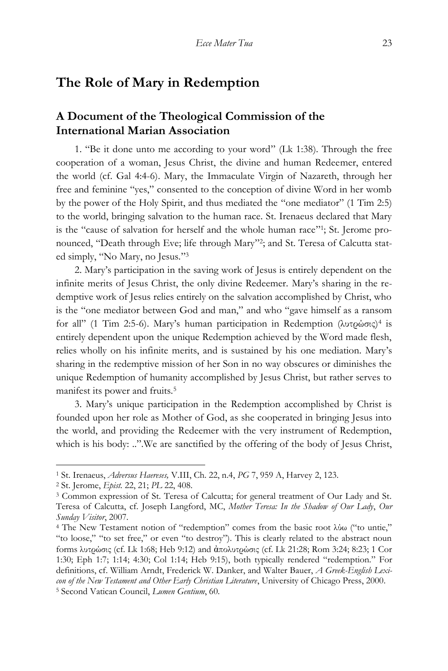## **The Role of Mary in Redemption**

## **A Document of the Theological Commission of the International Marian Association**

1. "Be it done unto me according to your word" (Lk 1:38). Through the free cooperation of a woman, Jesus Christ, the divine and human Redeemer, entered the world (cf. Gal 4:4-6). Mary, the Immaculate Virgin of Nazareth, through her free and feminine "yes," consented to the conception of divine Word in her womb by the power of the Holy Spirit, and thus mediated the "one mediator" (1 Tim 2:5) to the world, bringing salvation to the human race. St. Irenaeus declared that Mary is the "cause of salvation for herself and the whole human race"!; St. Jerome pronounced, "Death through Eve; life through Mary" 2 ; and St. Teresa of Calcutta stated simply, "No Mary, no Jesus." 3

2. Mary's participation in the saving work of Jesus is entirely dependent on the infinite merits of Jesus Christ, the only divine Redeemer. Mary's sharing in the redemptive work of Jesus relies entirely on the salvation accomplished by Christ, who is the "one mediator between God and man," and who "gave himself as a ransom for all" (1 Tim 2:5-6). Mary's human participation in Redemption (λυτρώσις)<sup>4</sup> is entirely dependent upon the unique Redemption achieved by the Word made flesh, relies wholly on his infinite merits, and is sustained by his one mediation. Mary's sharing in the redemptive mission of her Son in no way obscures or diminishes the unique Redemption of humanity accomplished by Jesus Christ, but rather serves to manifest its power and fruits.<sup>5</sup>

3. Mary's unique participation in the Redemption accomplished by Christ is founded upon her role as Mother of God, as she cooperated in bringing Jesus into the world, and providing the Redeemer with the very instrument of Redemption, which is his body: ..".We are sanctified by the offering of the body of Jesus Christ,

<sup>1</sup> St. Irenaeus, *Adversus Haereses,* V.III, Ch. 22, n.4, *PG* 7, 959 A, Harvey 2, 123.

<sup>2</sup> St. Jerome, *Epist.* 22, 21; *PL* 22, 408.

<sup>3</sup> Common expression of St. Teresa of Calcutta; for general treatment of Our Lady and St. Teresa of Calcutta, cf. Joseph Langford, MC, *Mother Teresa: In the Shadow of Our Lady*, *Our Sunday Visitor*, 2007.

<sup>4</sup> The New Testament notion of "redemption" comes from the basic root λύω ("to untie," "to loose," "to set free," or even "to destroy"). This is clearly related to the abstract noun forms λυτρώσις (cf. Lk 1:68; Heb 9:12) and ἀπολυτρώσις (cf. Lk 21:28; Rom 3:24; 8:23; 1 Cor 1:30; Eph 1:7; 1:14; 4:30; Col 1:14; Heb 9:15), both typically rendered "redemption." For definitions, cf. William Arndt, Frederick W. Danker, and Walter Bauer, *A Greek-English Lexicon of the New Testament and Other Early Christian Literature*, University of Chicago Press, 2000. <sup>5</sup> Second Vatican Council, *Lumen Gentium*, 60.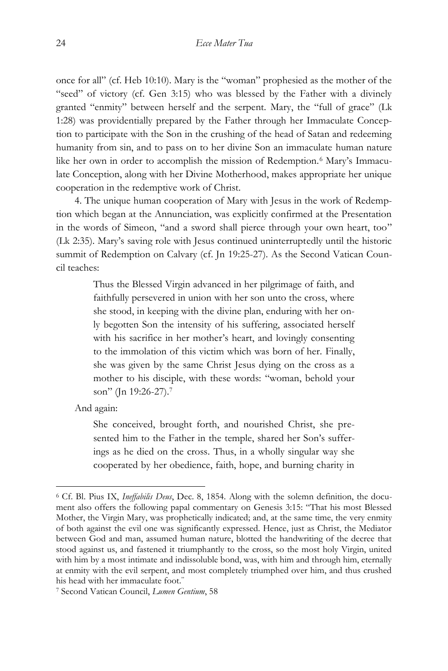once for all" (cf. Heb 10:10). Mary is the "woman" prophesied as the mother of the "seed" of victory (cf. Gen 3:15) who was blessed by the Father with a divinely granted "enmity" between herself and the serpent. Mary, the "full of grace" (Lk 1:28) was providentially prepared by the Father through her Immaculate Conception to participate with the Son in the crushing of the head of Satan and redeeming humanity from sin, and to pass on to her divine Son an immaculate human nature like her own in order to accomplish the mission of Redemption.<sup>6</sup> Mary's Immaculate Conception, along with her Divine Motherhood, makes appropriate her unique cooperation in the redemptive work of Christ.

4. The unique human cooperation of Mary with Jesus in the work of Redemption which began at the Annunciation, was explicitly confirmed at the Presentation in the words of Simeon, "and a sword shall pierce through your own heart, too" (Lk 2:35). Mary's saving role with Jesus continued uninterruptedly until the historic summit of Redemption on Calvary (cf. Jn 19:25-27). As the Second Vatican Council teaches:

> Thus the Blessed Virgin advanced in her pilgrimage of faith, and faithfully persevered in union with her son unto the cross, where she stood, in keeping with the divine plan, enduring with her only begotten Son the intensity of his suffering, associated herself with his sacrifice in her mother's heart, and lovingly consenting to the immolation of this victim which was born of her. Finally, she was given by the same Christ Jesus dying on the cross as a mother to his disciple, with these words: "woman, behold your son" (Jn 19:26-27).<sup>7</sup>

And again:

 $\overline{a}$ 

She conceived, brought forth, and nourished Christ, she presented him to the Father in the temple, shared her Son's sufferings as he died on the cross. Thus, in a wholly singular way she cooperated by her obedience, faith, hope, and burning charity in

<sup>6</sup> Cf. Bl. Pius IX, *Ineffabilis Deus*, Dec. 8, 1854. Along with the solemn definition, the document also offers the following papal commentary on Genesis 3:15: "That his most Blessed Mother, the Virgin Mary, was prophetically indicated; and, at the same time, the very enmity of both against the evil one was significantly expressed. Hence, just as Christ, the Mediator between God and man, assumed human nature, blotted the handwriting of the decree that stood against us, and fastened it triumphantly to the cross, so the most holy Virgin, united with him by a most intimate and indissoluble bond, was, with him and through him, eternally at enmity with the evil serpent, and most completely triumphed over him, and thus crushed his head with her immaculate foot."

<sup>7</sup> Second Vatican Council, *Lumen Gentium*, 58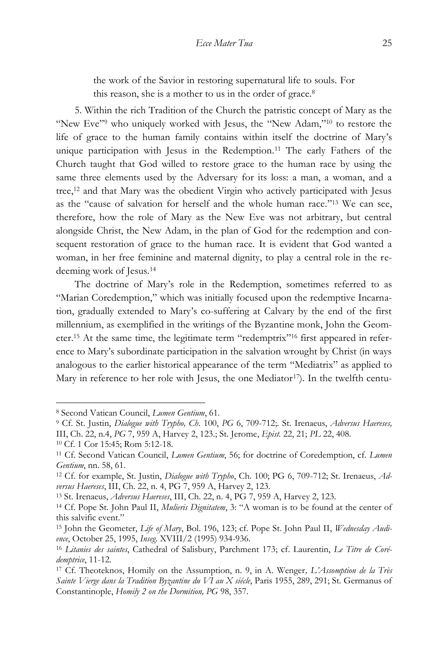the work of the Savior in restoring supernatural life to souls. For this reason, she is a mother to us in the order of grace.<sup>8</sup>

5. Within the rich Tradition of the Church the patristic concept of Mary as the "New Eve"<sup>9</sup> who uniquely worked with Jesus, the "New Adam,"<sup>10</sup> to restore the life of grace to the human family contains within itself the doctrine of Mary's unique participation with Jesus in the Redemption.<sup>11</sup> The early Fathers of the Church taught that God willed to restore grace to the human race by using the same three elements used by the Adversary for its loss: a man, a woman, and a tree,<sup>12</sup> and that Mary was the obedient Virgin who actively participated with Jesus as the "cause of salvation for herself and the whole human race." <sup>13</sup> We can see, therefore, how the role of Mary as the New Eve was not arbitrary, but central alongside Christ, the New Adam, in the plan of God for the redemption and consequent restoration of grace to the human race. It is evident that God wanted a woman, in her free feminine and maternal dignity, to play a central role in the redeeming work of Jesus.<sup>14</sup>

The doctrine of Mary's role in the Redemption, sometimes referred to as "Marian Coredemption," which was initially focused upon the redemptive Incarnation, gradually extended to Mary's co-suffering at Calvary by the end of the first millennium, as exemplified in the writings of the Byzantine monk, John the Geometer.<sup>15</sup> At the same time, the legitimate term "redemptrix" <sup>16</sup> first appeared in reference to Mary's subordinate participation in the salvation wrought by Christ (in ways analogous to the earlier historical appearance of the term "Mediatrix" as applied to Mary in reference to her role with Jesus, the one Mediator<sup>17</sup>). In the twelfth centu-

<sup>8</sup> Second Vatican Council, *Lumen Gentium*, 61.

<sup>9</sup> Cf. St. Justin, *Dialogue with Trypho, Ch*. 100, *PG* 6, 709-712;. St. Irenaeus, *Adversus Haereses,* III, Ch. 22, n.4, *PG* 7, 959 A, Harvey 2, 123.; St. Jerome, *Epist.* 22, 21; *PL* 22, 408.

<sup>10</sup> Cf. 1 Cor 15:45; Rom 5:12-18.

<sup>11</sup> Cf. Second Vatican Council, *Lumen Gentium*, 56; for doctrine of Coredemption, cf*. Lumen Gentium*, nn. 58, 61.

<sup>12</sup> Cf. for example, St. Justin, *Dialogue with Trypho*, Ch. 100; PG 6, 709-712; St. Irenaeus, *Adversus Haereses*, III, Ch. 22, n. 4, PG 7, 959 A, Harvey 2, 123.

<sup>13</sup> St. Irenaeus, *Adversus Haereses*, III, Ch. 22, n. 4, PG 7, 959 A, Harvey 2, 123.

<sup>14</sup> Cf. Pope St. John Paul II, *Mulieris Dignitatem*, 3: "A woman is to be found at the center of this salvific event."

<sup>15</sup> John the Geometer, *Life of Mary*, Bol. 196, 123; cf. Pope St. John Paul II, *Wednesday Audience*, October 25, 1995, *Inseg*. XVIII/2 (1995) 934-936.

<sup>16</sup> *Litanies des saintes*, Cathedral of Salisbury, Parchment 173; cf. Laurentin, *Le Titre de Corédemptrice*, 11-12.

<sup>17</sup> Cf. Theoteknos, Homily on the Assumption, n. 9, in A. Wenger*, L'Assomption de la Très Sainte Vierge dans la Tradition Byzantine du VI au X siécle*, Paris 1955, 289, 291; St. Germanus of Constantinople, *Homily 2 on the Dormition, PG* 98, 357.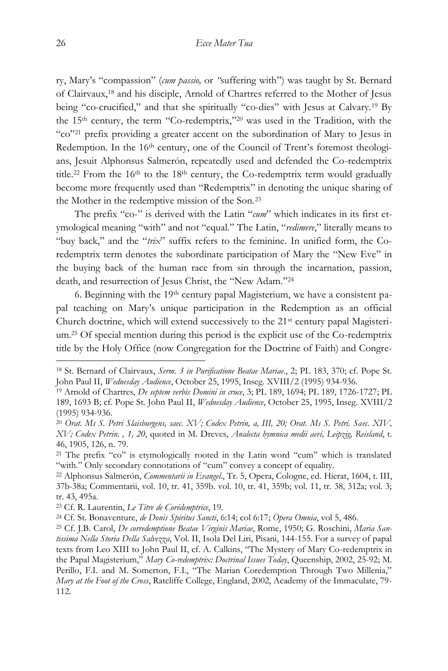ry, Mary's "compassion" (*cum passio,* or *"*suffering with") was taught by St. Bernard of Clairvaux,<sup>18</sup> and his disciple, Arnold of Chartres referred to the Mother of Jesus being "co-crucified," and that she spiritually "co-dies" with Jesus at Calvary.<sup>19</sup> By the 15th century, the term "Co-redemptrix," <sup>20</sup> was used in the Tradition, with the "co" <sup>21</sup> prefix providing a greater accent on the subordination of Mary to Jesus in Redemption. In the 16<sup>th</sup> century, one of the Council of Trent's foremost theologians, Jesuit Alphonsus Salmerón, repeatedly used and defended the Co-redemptrix title.<sup>22</sup> From the 16<sup>th</sup> to the 18<sup>th</sup> century, the Co-redemptrix term would gradually become more frequently used than "Redemptrix" in denoting the unique sharing of the Mother in the redemptive mission of the Son.<sup>23</sup>

The prefix "co-" is derived with the Latin "*cum*" which indicates in its first etymological meaning "with" and not "equal." The Latin, "*redimere*," literally means to "buy back," and the "*trix*" suffix refers to the feminine. In unified form, the Coredemptrix term denotes the subordinate participation of Mary the "New Eve" in the buying back of the human race from sin through the incarnation, passion, death, and resurrection of Jesus Christ, the "New Adam." 24

6. Beginning with the 19th century papal Magisterium, we have a consistent papal teaching on Mary's unique participation in the Redemption as an official Church doctrine, which will extend successively to the 21<sup>st</sup> century papal Magisterium.<sup>25</sup> Of special mention during this period is the explicit use of the Co-redemptrix title by the Holy Office (now Congregation for the Doctrine of Faith) and Congre-

<sup>18</sup> St. Bernard of Clairvaux, *Serm. 3 in Purificatione Beatae Mariae*., 2; PL 183, 370; cf. Pope St. John Paul II, *Wednesday Audience*, October 25, 1995, Inseg. XVIII/2 (1995) 934-936.

<sup>19</sup> Arnold of Chartres, *De septem verbis Domini in cruce*, 3; PL 189, 1694; PL 189, 1726-1727; PL 189, 1693 B; cf. Pope St. John Paul II, *Wednesday Audience*, October 25, 1995, Inseg. XVIII/2 (1995) 934-936.

<sup>20</sup> *Orat. Ms S. Petri Slaisburgens, saec. XV; Codex Petrin, a, III, 20; Orat. Ms S. Petri. Saec. XIV, XV; Codex Petrin. , 1, 20*, quoted in M. Dreves, *Analecta hymnica medii aevi, Leipzig, Reisland*, t. 46, 1905, 126, n. 79.

<sup>21</sup> The prefix "co" is etymologically rooted in the Latin word "cum" which is translated "with." Only secondary connotations of "cum" convey a concept of equality.

<sup>22</sup> Alphonsus Salmerón, *Commentarii in Evangel*., Tr. 5, Opera, Cologne, ed. Hierat, 1604, t. III, 37b-38a; Commentarii, vol. 10, tr. 41, 359b. vol. 10, tr. 41, 359b; vol. 11, tr. 38, 312a; vol. 3; tr. 43, 495a.

<sup>23</sup> Cf. R. Laurentin, *Le Titre de Corédemptrice*, 19.

<sup>24</sup> Cf. St. Bonaventure, *de Donis Spiritus Sancti*, 6:14; col 6:17; *Opera Omnia*, vol 5, 486.

<sup>25</sup> Cf. J.B. Carol, *De corredemptione Beatae Virginis Mariae*, Rome, 1950; G. Roschini, *Maria Santissima Nella Storia Della Salvezza*, Vol. II, Isola Del Liri, Pisani, 144-155. For a survey of papal texts from Leo XIII to John Paul II, cf. A. Calkins, "The Mystery of Mary Co-redemptrix in the Papal Magisterium," *Mary Co-redemptrix: Doctrinal Issues Today*, Queenship, 2002, 25-92; M. Perillo, F.I. and M. Somerton, F.I., "The Marian Coredemption Through Two Millenia," *Mary at the Foot of the Cross*, Ratcliffe College, England, 2002, Academy of the Immaculate, 79- 112.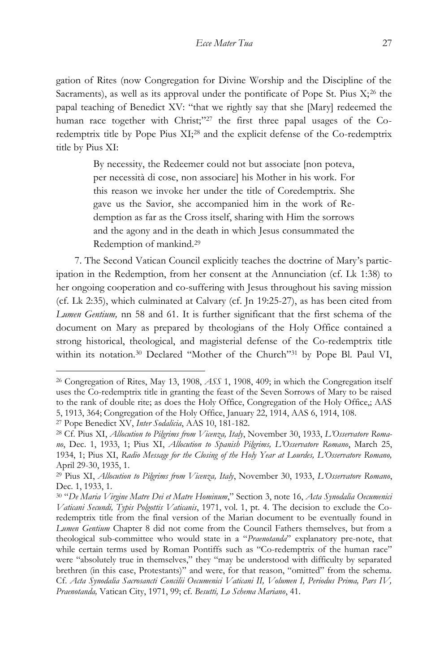gation of Rites (now Congregation for Divine Worship and the Discipline of the Sacraments), as well as its approval under the pontificate of Pope St. Pius  $X<sub>1</sub><sup>26</sup>$  the papal teaching of Benedict XV: "that we rightly say that she [Mary] redeemed the human race together with Christ;"<sup>27</sup> the first three papal usages of the Coredemptrix title by Pope Pius XI;<sup>28</sup> and the explicit defense of the Co-redemptrix title by Pius XI:

> By necessity, the Redeemer could not but associate [non poteva, per necessità di cose, non associare] his Mother in his work. For this reason we invoke her under the title of Coredemptrix. She gave us the Savior, she accompanied him in the work of Redemption as far as the Cross itself, sharing with Him the sorrows and the agony and in the death in which Jesus consummated the Redemption of mankind.<sup>29</sup>

7. The Second Vatican Council explicitly teaches the doctrine of Mary's participation in the Redemption, from her consent at the Annunciation (cf. Lk 1:38) to her ongoing cooperation and co-suffering with Jesus throughout his saving mission (cf. Lk 2:35), which culminated at Calvary (cf. Jn 19:25-27), as has been cited from *Lumen Gentium,* nn 58 and 61. It is further significant that the first schema of the document on Mary as prepared by theologians of the Holy Office contained a strong historical, theological, and magisterial defense of the Co-redemptrix title within its notation.<sup>30</sup> Declared "Mother of the Church"<sup>31</sup> by Pope Bl. Paul VI,

<sup>26</sup> Congregation of Rites, May 13, 1908, *ASS* 1, 1908, 409; in which the Congregation itself uses the Co-redemptrix title in granting the feast of the Seven Sorrows of Mary to be raised to the rank of double rite; as does the Holy Office, Congregation of the Holy Office,; AAS 5, 1913, 364; Congregation of the Holy Office, January 22, 1914, AAS 6, 1914, 108.

<sup>27</sup> Pope Benedict XV, *Inter Sodalicia*, AAS 10, 181-182.

<sup>28</sup> Cf. Pius XI, *Allocution to Pilgrims from Vicenza, Italy*, November 30, 1933, *L'Osservatore Romano*, Dec. 1, 1933, 1; Pius XI, *Allocution to Spanish Pilgrims, L'Osservatore Romano*, March 25, 1934, 1; Pius XI, *Radio Message for the Closing of the Holy Year at Lourdes, L'Osservatore Romano,* April 29-30, 1935, 1.

<sup>29</sup> Pius XI, *Allocution to Pilgrims from Vicenza, Italy*, November 30, 1933, *L'Osservatore Romano*, Dec. 1, 1933, 1.

<sup>30</sup> "*De Maria Virgine Matre Dei et Matre Hominum*," Section 3, note 16, *Acta Synodalia Oecumenici Vaticani Secundi, Typis Polgottis Vaticanis*, 1971, vol. 1, pt. 4. The decision to exclude the Coredemptrix title from the final version of the Marian document to be eventually found in *Lumen Gentium* Chapter 8 did not come from the Council Fathers themselves, but from a theological sub-committee who would state in a "*Praenotanda*" explanatory pre-note, that while certain terms used by Roman Pontiffs such as "Co-redemptrix of the human race" were "absolutely true in themselves," they "may be understood with difficulty by separated brethren (in this case, Protestants)" and were, for that reason, "omitted" from the schema. Cf. *Acta Synodalia Sacrosancti Concilii Oecumenici Vaticani II, Volumen I, Periodus Prima, Pars IV, Praenotanda,* Vatican City, 1971, 99; cf. *Besutti, Lo Schema Mariano*, 41.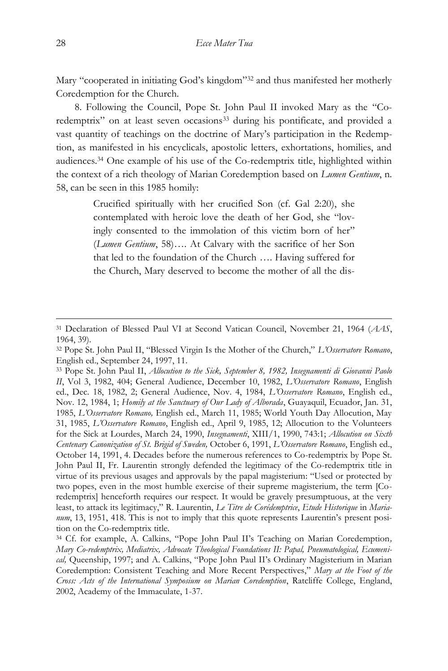Mary "cooperated in initiating God's kingdom" <sup>32</sup> and thus manifested her motherly Coredemption for the Church.

8. Following the Council, Pope St. John Paul II invoked Mary as the "Coredemptrix" on at least seven occasions<sup>33</sup> during his pontificate, and provided a vast quantity of teachings on the doctrine of Mary's participation in the Redemption, as manifested in his encyclicals, apostolic letters, exhortations, homilies, and audiences.<sup>34</sup> One example of his use of the Co-redemptrix title, highlighted within the context of a rich theology of Marian Coredemption based on *Lumen Gentium*, n. 58, can be seen in this 1985 homily:

> Crucified spiritually with her crucified Son (cf. Gal 2:20), she contemplated with heroic love the death of her God, she "lovingly consented to the immolation of this victim born of her" (*Lumen Gentium*, 58)…. At Calvary with the sacrifice of her Son that led to the foundation of the Church …. Having suffered for the Church, Mary deserved to become the mother of all the dis-

<sup>31</sup> Declaration of Blessed Paul VI at Second Vatican Council, November 21, 1964 (*AAS*, 1964, 39).

<sup>32</sup> Pope St. John Paul II, "Blessed Virgin Is the Mother of the Church," *L'Osservatore Romano*, English ed., September 24, 1997, 11.

<sup>33</sup> Pope St. John Paul II, *Allocution to the Sick, September 8, 1982, Insegnamenti di Giovanni Paolo II*, Vol 3, 1982, 404; General Audience, December 10, 1982, *L'Osservatore Romano*, English ed., Dec. 18, 1982, 2; General Audience, Nov. 4, 1984, *L'Osservatore Romano*, English ed., Nov. 12, 1984, 1; *Homily at the Sanctuary of Our Lady of Alborada*, Guayaquil, Ecuador, Jan. 31, 1985, *L'Osservatore Romano,* English ed., March 11, 1985; World Youth Day Allocution, May 31, 1985, *L'Osservatore Romano*, English ed., April 9, 1985, 12; Allocution to the Volunteers for the Sick at Lourdes, March 24, 1990, *Insegnamenti*, XIII/1, 1990, 743:1; *Allocution on Sixth Centenary Canonization of St. Brigid of Sweden,* October 6, 1991, *L'Osservatore Romano*, English ed., October 14, 1991, 4. Decades before the numerous references to Co-redemptrix by Pope St. John Paul II, Fr. Laurentin strongly defended the legitimacy of the Co-redemptrix title in virtue of its previous usages and approvals by the papal magisterium: "Used or protected by two popes, even in the most humble exercise of their supreme magisterium, the term [Coredemptrix] henceforth requires our respect. It would be gravely presumptuous, at the very least, to attack its legitimacy," R. Laurentin, *Le Titre de Corédemptrice*, *Etude Historique* in *Marianum*, 13, 1951, 418. This is not to imply that this quote represents Laurentin's present position on the Co-redemptrix title.

<sup>34</sup> Cf. for example, A. Calkins, "Pope John Paul II's Teaching on Marian Coredemption*, Mary Co-redemptrix, Mediatrix, Advocate Theological Foundations II: Papal, Pneumatological, Ecumenical,* Queenship, 1997; and A. Calkins, "Pope John Paul II's Ordinary Magisterium in Marian Coredemption: Consistent Teaching and More Recent Perspectives," *Mary at the Foot of the Cross: Acts of the International Symposium on Marian Coredemption*, Ratcliffe College, England, 2002, Academy of the Immaculate, 1-37.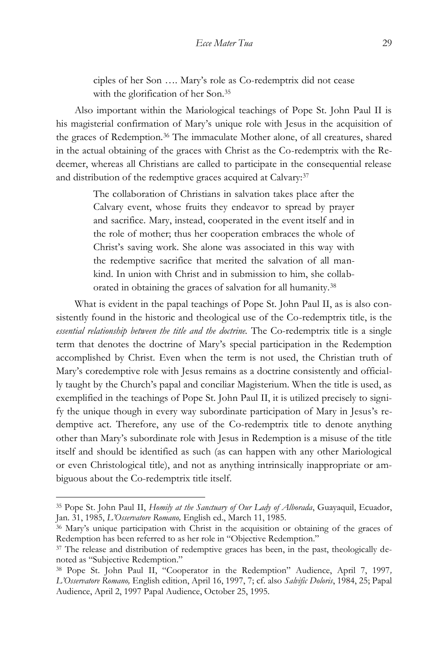ciples of her Son …. Mary's role as Co-redemptrix did not cease with the glorification of her Son.<sup>35</sup>

Also important within the Mariological teachings of Pope St. John Paul II is his magisterial confirmation of Mary's unique role with Jesus in the acquisition of the graces of Redemption.<sup>36</sup> The immaculate Mother alone, of all creatures, shared in the actual obtaining of the graces with Christ as the Co-redemptrix with the Redeemer, whereas all Christians are called to participate in the consequential release and distribution of the redemptive graces acquired at Calvary:<sup>37</sup>

> The collaboration of Christians in salvation takes place after the Calvary event, whose fruits they endeavor to spread by prayer and sacrifice. Mary, instead, cooperated in the event itself and in the role of mother; thus her cooperation embraces the whole of Christ's saving work. She alone was associated in this way with the redemptive sacrifice that merited the salvation of all mankind. In union with Christ and in submission to him, she collaborated in obtaining the graces of salvation for all humanity.<sup>38</sup>

What is evident in the papal teachings of Pope St. John Paul II, as is also consistently found in the historic and theological use of the Co-redemptrix title, is the *essential relationship between the title and the doctrine.* The Co-redemptrix title is a single term that denotes the doctrine of Mary's special participation in the Redemption accomplished by Christ. Even when the term is not used, the Christian truth of Mary's coredemptive role with Jesus remains as a doctrine consistently and officially taught by the Church's papal and conciliar Magisterium. When the title is used, as exemplified in the teachings of Pope St. John Paul II, it is utilized precisely to signify the unique though in every way subordinate participation of Mary in Jesus's redemptive act. Therefore, any use of the Co-redemptrix title to denote anything other than Mary's subordinate role with Jesus in Redemption is a misuse of the title itself and should be identified as such (as can happen with any other Mariological or even Christological title), and not as anything intrinsically inappropriate or ambiguous about the Co-redemptrix title itself.

<sup>35</sup> Pope St. John Paul II, *Homily at the Sanctuary of Our Lady of Alborada*, Guayaquil, Ecuador, Jan. 31, 1985, *L'Osservatore Romano,* English ed., March 11, 1985.

<sup>36</sup> Mary's unique participation with Christ in the acquisition or obtaining of the graces of Redemption has been referred to as her role in "Objective Redemption."

<sup>&</sup>lt;sup>37</sup> The release and distribution of redemptive graces has been, in the past, theologically denoted as "Subjective Redemption."

<sup>38</sup> Pope St. John Paul II, "Cooperator in the Redemption" Audience, April 7, 1997*, L'Osservatore Romano,* English edition, April 16, 1997, 7; cf. also *Salvific Doloris*, 1984, 25; Papal Audience, April 2, 1997 Papal Audience, October 25, 1995.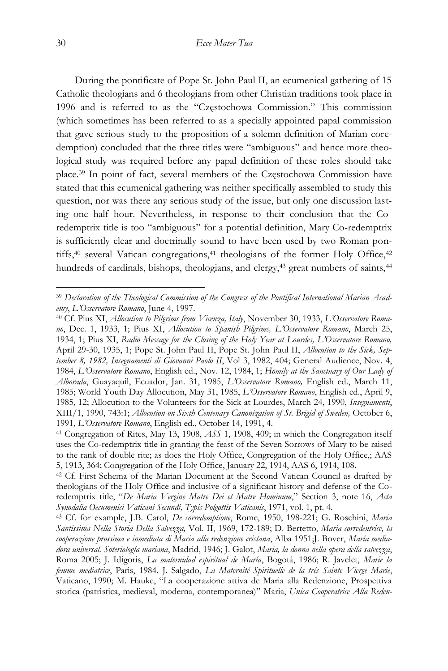During the pontificate of Pope St. John Paul II, an ecumenical gathering of 15 Catholic theologians and 6 theologians from other Christian traditions took place in 1996 and is referred to as the "Częstochowa Commission." This commission (which sometimes has been referred to as a specially appointed papal commission that gave serious study to the proposition of a solemn definition of Marian coredemption) concluded that the three titles were "ambiguous" and hence more theological study was required before any papal definition of these roles should take place.<sup>39</sup> In point of fact, several members of the Częstochowa Commission have stated that this ecumenical gathering was neither specifically assembled to study this question, nor was there any serious study of the issue, but only one discussion lasting one half hour. Nevertheless, in response to their conclusion that the Coredemptrix title is too "ambiguous" for a potential definition, Mary Co-redemptrix is sufficiently clear and doctrinally sound to have been used by two Roman pontiffs,<sup>40</sup> several Vatican congregations,<sup>41</sup> theologians of the former Holy Office,<sup>42</sup> hundreds of cardinals, bishops, theologians, and clergy,<sup>43</sup> great numbers of saints,<sup>44</sup>

<sup>39</sup> *Declaration of the Theological Commission of the Congress of the Pontifical International Marian Academy*, *L'Osservatore Romano*, June 4, 1997.

<sup>40</sup> Cf. Pius XI, *Allocution to Pilgrims from Vicenza, Italy*, November 30, 1933, *L'Osservatore Romano*, Dec. 1, 1933, 1; Pius XI, *Allocution to Spanish Pilgrims, L'Osservatore Romano*, March 25, 1934, 1; Pius XI, *Radio Message for the Closing of the Holy Year at Lourdes, L'Osservatore Romano,* April 29-30, 1935, 1; Pope St. John Paul II, Pope St. John Paul II, *Allocution to the Sick, September 8, 1982, Insegnamenti di Giovanni Paolo II*, Vol 3, 1982, 404; General Audience, Nov. 4, 1984, *L'Osservatore Romano*, English ed., Nov. 12, 1984, 1; *Homily at the Sanctuary of Our Lady of Alborada*, Guayaquil, Ecuador, Jan. 31, 1985, *L'Osservatore Romano,* English ed., March 11, 1985; World Youth Day Allocution, May 31, 1985, *L'Osservatore Romano*, English ed., April 9, 1985, 12; Allocution to the Volunteers for the Sick at Lourdes, March 24, 1990, *Insegnamenti*, XIII/1, 1990, 743:1; *Allocution on Sixth Centenary Canonization of St. Brigid of Sweden,* October 6, 1991, *L'Osservatore Romano*, English ed., October 14, 1991, 4.

<sup>41</sup> Congregation of Rites, May 13, 1908, *ASS* 1, 1908, 409; in which the Congregation itself uses the Co-redemptrix title in granting the feast of the Seven Sorrows of Mary to be raised to the rank of double rite; as does the Holy Office, Congregation of the Holy Office,; AAS 5, 1913, 364; Congregation of the Holy Office, January 22, 1914, AAS 6, 1914, 108.

<sup>42</sup> Cf. First Schema of the Marian Document at the Second Vatican Council as drafted by theologians of the Holy Office and inclusive of a significant history and defense of the Coredemptrix title, "*De Maria Vergine Matre Dei et Matre Hominum*," Section 3, note 16, *Acta Synodalia Oecumenici Vaticani Secundi, Typis Polgottis Vaticanis*, 1971, vol. 1, pt. 4.

<sup>43</sup> Cf. for example, J.B. Carol, *De corredemptione*, Rome, 1950, 198-221; G. Roschini, *Maria Santissima Nella Storia Della Salvezza,* Vol. II, 1969, 172-189; D. Bertetto, *Maria corredentrice, la cooperazione prossima e inmediata di Maria alla redenzione cristana*, Alba 1951;J. Bover, *María mediadora universal. Soteriología mariana*, Madrid, 1946; J. Galot, *Maria, la donna nella opera della salvezza*, Roma 2005; J. Idigoris, *La maternidad espiritual de María*, Bogotá, 1986; R. Javelet, *Marie la femme mediatrice*, Paris, 1984. J. Salgado, *La Maternité Spirituelle de la trés Sainte Vierge Marie*, Vaticano, 1990; M. Hauke, "La cooperazione attiva de Maria alla Redenzione, Prospettiva storica (patristica, medieval, moderna, contemporanea)" Maria, *Unica Cooperatrice Alla Reden-*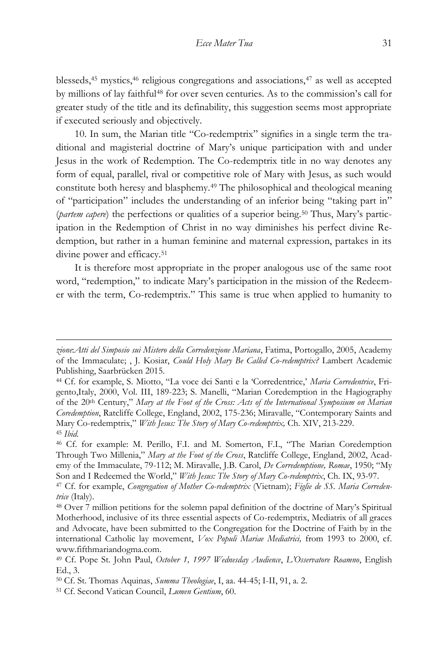blesseds, $45$  mystics, $46$  religious congregations and associations, $47$  as well as accepted by millions of lay faithful<sup>48</sup> for over seven centuries. As to the commission's call for greater study of the title and its definability, this suggestion seems most appropriate if executed seriously and objectively.

10. In sum, the Marian title "Co-redemptrix" signifies in a single term the traditional and magisterial doctrine of Mary's unique participation with and under Jesus in the work of Redemption. The Co-redemptrix title in no way denotes any form of equal, parallel, rival or competitive role of Mary with Jesus, as such would constitute both heresy and blasphemy.<sup>49</sup> The philosophical and theological meaning of "participation" includes the understanding of an inferior being "taking part in" (*partem capere*) the perfections or qualities of a superior being.<sup>50</sup> Thus, Mary's participation in the Redemption of Christ in no way diminishes his perfect divine Redemption, but rather in a human feminine and maternal expression, partakes in its divine power and efficacy.<sup>51</sup>

It is therefore most appropriate in the proper analogous use of the same root word, "redemption," to indicate Mary's participation in the mission of the Redeemer with the term, Co-redemptrix." This same is true when applied to humanity to

*zione*:*Atti del Simposio sui Mistero della Corredenzione Mariana*, Fatima, Portogallo, 2005, Academy of the Immaculate; , J. Kosiar, *Could Holy Mary Be Called Co-redemptrix?* Lambert Academic Publishing, Saarbrücken 2015.

<sup>44</sup> Cf. for example, S. Miotto, "La voce dei Santi e la 'Corredentrice,' *Maria Corredentrice*, Frigento,Italy, 2000, Vol. III, 189-223; S. Manelli, "Marian Coredemption in the Hagiography of the 20th Century," *Mary at the Foot of the Cross: Acts of the International Symposium on Marian Coredemption*, Ratcliffe College, England, 2002, 175-236; Miravalle, "Contemporary Saints and Mary Co-redemptrix," *With Jesus: The Story of Mary Co-redemptrix,* Ch. XIV, 213-229. <sup>45</sup> *Ibid*.

<sup>46</sup> Cf. for example: M. Perillo, F.I. and M. Somerton, F.I., "The Marian Coredemption Through Two Millenia," *Mary at the Foot of the Cross*, Ratcliffe College, England, 2002, Academy of the Immaculate, 79-112; M. Miravalle, J.B. Carol, *De Corredemptione, Romae*, 1950; "My Son and I Redeemed the World," *With Jesus: The Story of Mary Co-redemptrix*, Ch. IX, 93-97.

<sup>47</sup> Cf. for example, *Congregation of Mother Co-redemptrix* (Vietnam); *Figlie de SS. Maria Corredentrice* (Italy).

<sup>48</sup> Over 7 million petitions for the solemn papal definition of the doctrine of Mary's Spiritual Motherhood, inclusive of its three essential aspects of Co-redemptrix, Mediatrix of all graces and Advocate, have been submitted to the Congregation for the Doctrine of Faith by in the international Catholic lay movement, *Vox Populi Mariae Mediatrici,* from 1993 to 2000, cf. www.fifthmariandogma.com.

<sup>49</sup> Cf. Pope St. John Paul, *October 1, 1997 Wednesday Audience*, *L'Osservatore Roamno*, English Ed., 3.

<sup>50</sup> Cf. St. Thomas Aquinas, *Summa Theologiae*, I, aa. 44-45; I-II, 91, a. 2.

<sup>51</sup> Cf. Second Vatican Council, *Lumen Gentium*, 60.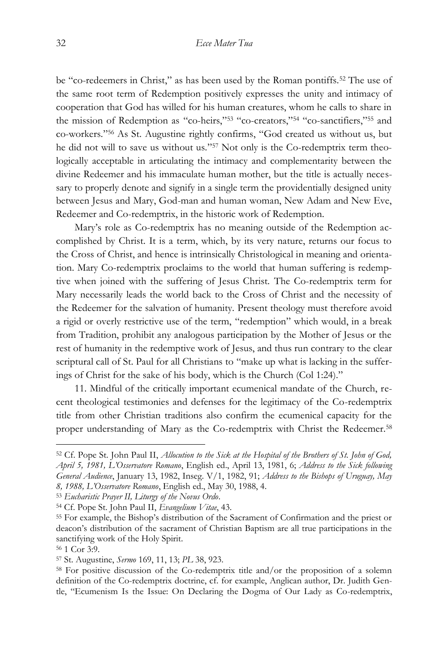be "co-redeemers in Christ," as has been used by the Roman pontiffs.<sup>52</sup> The use of the same root term of Redemption positively expresses the unity and intimacy of cooperation that God has willed for his human creatures, whom he calls to share in the mission of Redemption as "co-heirs,"<sup>53</sup> "co-creators,"<sup>54</sup> "co-sanctifiers,"<sup>55</sup> and co-workers." <sup>56</sup> As St. Augustine rightly confirms, "God created us without us, but he did not will to save us without us." <sup>57</sup> Not only is the Co-redemptrix term theologically acceptable in articulating the intimacy and complementarity between the divine Redeemer and his immaculate human mother, but the title is actually necessary to properly denote and signify in a single term the providentially designed unity between Jesus and Mary, God-man and human woman, New Adam and New Eve, Redeemer and Co-redemptrix, in the historic work of Redemption.

Mary's role as Co-redemptrix has no meaning outside of the Redemption accomplished by Christ. It is a term, which, by its very nature, returns our focus to the Cross of Christ, and hence is intrinsically Christological in meaning and orientation. Mary Co-redemptrix proclaims to the world that human suffering is redemptive when joined with the suffering of Jesus Christ. The Co-redemptrix term for Mary necessarily leads the world back to the Cross of Christ and the necessity of the Redeemer for the salvation of humanity. Present theology must therefore avoid a rigid or overly restrictive use of the term, "redemption" which would, in a break from Tradition, prohibit any analogous participation by the Mother of Jesus or the rest of humanity in the redemptive work of Jesus, and thus run contrary to the clear scriptural call of St. Paul for all Christians to "make up what is lacking in the sufferings of Christ for the sake of his body, which is the Church (Col 1:24)."

11. Mindful of the critically important ecumenical mandate of the Church, recent theological testimonies and defenses for the legitimacy of the Co-redemptrix title from other Christian traditions also confirm the ecumenical capacity for the proper understanding of Mary as the Co-redemptrix with Christ the Redeemer.<sup>58</sup>

<sup>52</sup> Cf. Pope St. John Paul II, *Allocution to the Sick at the Hospital of the Brothers of St. John of God, April 5, 1981, L'Osservatore Romano*, English ed., April 13, 1981, 6; *Address to the Sick following General Audience*, January 13, 1982, Inseg. V/1, 1982, 91; *Address to the Bishops of Uruguay, May 8, 1988, L'Osservatore Romano*, English ed., May 30, 1988, 4.

<sup>53</sup> *Eucharistic Prayer II, Liturgy of the Novus Ordo*.

<sup>54</sup> Cf. Pope St. John Paul II, *Evangelium Vitae*, 43.

<sup>55</sup> For example, the Bishop's distribution of the Sacrament of Confirmation and the priest or deacon's distribution of the sacrament of Christian Baptism are all true participations in the sanctifying work of the Holy Spirit.

<sup>56</sup> 1 Cor 3:9.

<sup>57</sup> St. Augustine, *Sermo* 169, 11, 13; *PL* 38, 923.

<sup>58</sup> For positive discussion of the Co-redemptrix title and/or the proposition of a solemn definition of the Co-redemptrix doctrine, cf. for example, Anglican author, Dr. Judith Gentle, "Ecumenism Is the Issue: On Declaring the Dogma of Our Lady as Co-redemptrix,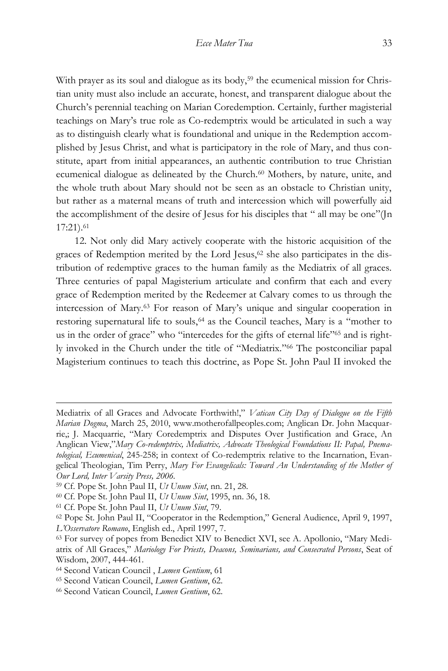With prayer as its soul and dialogue as its body,<sup>59</sup> the ecumenical mission for Christian unity must also include an accurate, honest, and transparent dialogue about the Church's perennial teaching on Marian Coredemption. Certainly, further magisterial teachings on Mary's true role as Co-redemptrix would be articulated in such a way as to distinguish clearly what is foundational and unique in the Redemption accomplished by Jesus Christ, and what is participatory in the role of Mary, and thus constitute, apart from initial appearances, an authentic contribution to true Christian ecumenical dialogue as delineated by the Church.<sup>60</sup> Mothers, by nature, unite, and the whole truth about Mary should not be seen as an obstacle to Christian unity, but rather as a maternal means of truth and intercession which will powerfully aid the accomplishment of the desire of Jesus for his disciples that " all may be one"(Jn 17:21).<sup>61</sup>

12. Not only did Mary actively cooperate with the historic acquisition of the graces of Redemption merited by the Lord Jesus,<sup>62</sup> she also participates in the distribution of redemptive graces to the human family as the Mediatrix of all graces. Three centuries of papal Magisterium articulate and confirm that each and every grace of Redemption merited by the Redeemer at Calvary comes to us through the intercession of Mary.<sup>63</sup> For reason of Mary's unique and singular cooperation in restoring supernatural life to souls,<sup>64</sup> as the Council teaches, Mary is a "mother to us in the order of grace" who "intercedes for the gifts of eternal life"<sup>65</sup> and is rightly invoked in the Church under the title of "Mediatrix." <sup>66</sup> The postconciliar papal Magisterium continues to teach this doctrine, as Pope St. John Paul II invoked the

Mediatrix of all Graces and Advocate Forthwith!," *Vatican City Day of Dialogue on the Fifth Marian Dogma*, March 25, 2010, www.motherofallpeoples.com; Anglican Dr. John Macquarrie,; J. Macquarrie, "Mary Coredemptrix and Disputes Over Justification and Grace, An Anglican View,"*Mary Co-redemptrix, Mediatrix, Advocate Theological Foundations II: Papal, Pnematological, Ecumenical*, 245-258; in context of Co-redemptrix relative to the Incarnation, Evangelical Theologian, Tim Perry, *Mary For Evangelicals: Toward An Understanding of the Mother of Our Lord, Inter Varsity Press, 2006.*

<sup>59</sup> Cf. Pope St. John Paul II, *Ut Unum Sint*, nn. 21, 28.

<sup>60</sup> Cf. Pope St. John Paul II, *Ut Unum Sint*, 1995, nn. 36, 18.

<sup>61</sup> Cf. Pope St. John Paul II, *Ut Unum Sint*, 79.

<sup>62</sup> Pope St. John Paul II, "Cooperator in the Redemption," General Audience, April 9, 1997, *L'Osservatore Romano*, English ed., April 1997, 7.

<sup>63</sup> For survey of popes from Benedict XIV to Benedict XVI, see A. Apollonio, "Mary Mediatrix of All Graces," *Mariology For Priests, Deacons, Seminarians, and Consecrated Persons*, Seat of Wisdom, 2007, 444-461.

<sup>64</sup> Second Vatican Council , *Lumen Gentium*, 61

<sup>65</sup> Second Vatican Council, *Lumen Gentium*, 62.

<sup>66</sup> Second Vatican Council, *Lumen Gentium*, 62.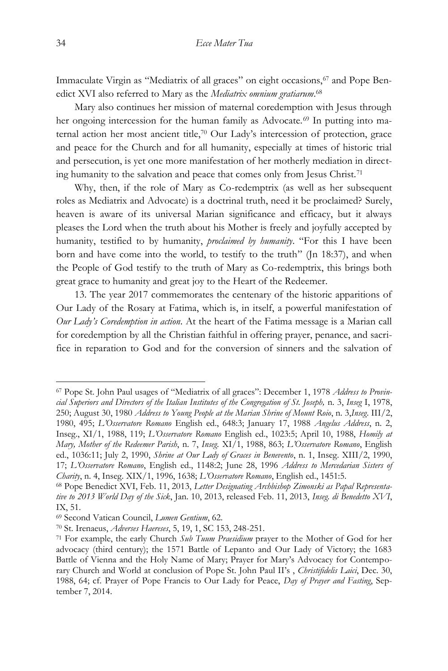Immaculate Virgin as "Mediatrix of all graces" on eight occasions,<sup>67</sup> and Pope Benedict XVI also referred to Mary as the *Mediatrix omnium gratiarum*. 68

Mary also continues her mission of maternal coredemption with Jesus through her ongoing intercession for the human family as Advocate.<sup>69</sup> In putting into maternal action her most ancient title,<sup>70</sup> Our Lady's intercession of protection, grace and peace for the Church and for all humanity, especially at times of historic trial and persecution, is yet one more manifestation of her motherly mediation in directing humanity to the salvation and peace that comes only from Jesus Christ.<sup>71</sup>

Why, then, if the role of Mary as Co-redemptrix (as well as her subsequent roles as Mediatrix and Advocate) is a doctrinal truth, need it be proclaimed? Surely, heaven is aware of its universal Marian significance and efficacy, but it always pleases the Lord when the truth about his Mother is freely and joyfully accepted by humanity, testified to by humanity, *proclaimed by humanity*. "For this I have been born and have come into the world, to testify to the truth" (Jn 18:37), and when the People of God testify to the truth of Mary as Co-redemptrix, this brings both great grace to humanity and great joy to the Heart of the Redeemer.

13. The year 2017 commemorates the centenary of the historic apparitions of Our Lady of the Rosary at Fatima, which is, in itself, a powerful manifestation of *Our Lady's Coredemption in action*. At the heart of the Fatima message is a Marian call for coredemption by all the Christian faithful in offering prayer, penance, and sacrifice in reparation to God and for the conversion of sinners and the salvation of

<sup>67</sup> Pope St. John Paul usages of "Mediatrix of all graces": December 1, 1978 *Address to Provincial Superiors and Directors of the Italian Institutes of the Congregation of St. Joseph,* n. 3, *Inseg* I, 1978, 250; August 30, 1980 *Address to Young People at the Marian Shrine of Mount Roio*, n. 3,*Inseg*. III/2, 1980, 495; *L'Osservatore Romano* English ed., 648:3; January 17, 1988 *Angelus Address*, n. 2, Inseg., XI/1, 1988, 119; *L'Osservatore Romano* English ed., 1023:5; April 10, 1988, *Homily at Mary, Mother of the Redeemer Parish*, n. 7, *Inseg.* XI/1, 1988, 863; *L'Osservatore Romano*, English ed., 1036:11; July 2, 1990, *Shrine at Our Lady of Graces in Benevento*, n. 1, Inseg. XIII/2, 1990, 17; *L'Osservatore Romano*, English ed., 1148:2; June 28, 1996 *Address to Mercedarian Sisters of Charity*, n. 4, Inseg. XIX/1, 1996, 1638; *L'Osservatore Romano*, English ed., 1451:5.

<sup>68</sup> Pope Benedict XVI, Feb. 11, 2013, *Letter Designating Archbishop Zimonski as Papal Representative to 2013 World Day of the Sick*, Jan. 10, 2013, released Feb. 11, 2013, *Inseg. di Benedetto XVI*, IX, 51.

<sup>69</sup> Second Vatican Council, *Lumen Gentium*, 62.

<sup>70</sup> St. Irenaeus, *Adverses Haereses*, 5, 19, 1, SC 153, 248-251.

<sup>71</sup> For example, the early Church *Sub Tuum Praesidium* prayer to the Mother of God for her advocacy (third century); the 1571 Battle of Lepanto and Our Lady of Victory; the 1683 Battle of Vienna and the Holy Name of Mary; Prayer for Mary's Advocacy for Contemporary Church and World at conclusion of Pope St. John Paul II's , *Christifidelis Laici*, Dec. 30, 1988, 64; cf. Prayer of Pope Francis to Our Lady for Peace, *Day of Prayer and Fasting*, September 7, 2014.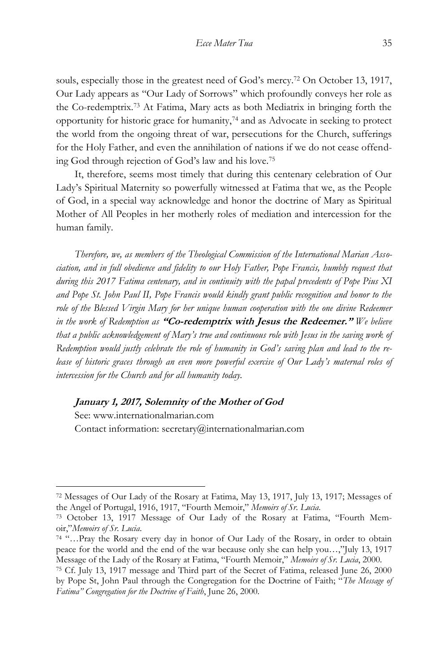souls, especially those in the greatest need of God's mercy.<sup>72</sup> On October 13, 1917, Our Lady appears as "Our Lady of Sorrows" which profoundly conveys her role as the Co-redemptrix.<sup>73</sup> At Fatima, Mary acts as both Mediatrix in bringing forth the opportunity for historic grace for humanity,<sup>74</sup> and as Advocate in seeking to protect the world from the ongoing threat of war, persecutions for the Church, sufferings for the Holy Father, and even the annihilation of nations if we do not cease offending God through rejection of God's law and his love.<sup>75</sup>

It, therefore, seems most timely that during this centenary celebration of Our Lady's Spiritual Maternity so powerfully witnessed at Fatima that we, as the People of God, in a special way acknowledge and honor the doctrine of Mary as Spiritual Mother of All Peoples in her motherly roles of mediation and intercession for the human family.

*Therefore, we, as members of the Theological Commission of the International Marian Association, and in full obedience and fidelity to our Holy Father, Pope Francis, humbly request that during this 2017 Fatima centenary, and in continuity with the papal precedents of Pope Pius XI and Pope St. John Paul II, Pope Francis would kindly grant public recognition and honor to the*  role of the Blessed Virgin Mary for her unique human cooperation with the one divine Redeemer *in the work of Redemption as* **"Co-redemptrix with Jesus the Redeemer."** *We believe that a public acknowledgement of Mary's true and continuous role with Jesus in the saving work of Redemption would justly celebrate the role of humanity in God's saving plan and lead to the release of historic graces through an even more powerful exercise of Our Lady's maternal roles of intercession for the Church and for all humanity today.* 

## **January 1, 2017, Solemnity of the Mother of God**

 $\overline{a}$ 

See: www.internationalmarian.com Contact information: secretary@internationalmarian.com

<sup>72</sup> Messages of Our Lady of the Rosary at Fatima, May 13, 1917, July 13, 1917; Messages of the Angel of Portugal, 1916, 1917, "Fourth Memoir," *Memoirs of Sr. Lucia*.

<sup>73</sup> October 13, 1917 Message of Our Lady of the Rosary at Fatima, "Fourth Memoir,"*Memoirs of Sr. Lucia*.

<sup>74</sup> "…Pray the Rosary every day in honor of Our Lady of the Rosary, in order to obtain peace for the world and the end of the war because only she can help you…,"July 13, 1917 Message of the Lady of the Rosary at Fatima, "Fourth Memoir," *Memoirs of Sr. Lucia*, 2000.

<sup>75</sup> Cf. July 13, 1917 message and Third part of the Secret of Fatima, released June 26, 2000 by Pope St, John Paul through the Congregation for the Doctrine of Faith; "*The Message of Fatima" Congregation for the Doctrine of Faith*, June 26, 2000.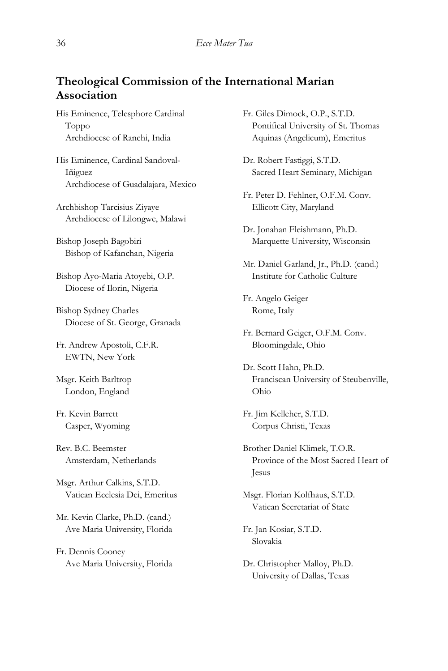## **Theological Commission of the International Marian Association**

His Eminence, Telesphore Cardinal Toppo Archdiocese of Ranchi, India

His Eminence, Cardinal Sandoval-Iñiguez Archdiocese of Guadalajara, Mexico

Archbishop Tarcisius Ziyaye Archdiocese of Lilongwe, Malawi

Bishop Joseph Bagobiri Bishop of Kafanchan, Nigeria

Bishop Ayo-Maria Atoyebi, O.P. Diocese of Ilorin, Nigeria

Bishop Sydney Charles Diocese of St. George, Granada

Fr. Andrew Apostoli, C.F.R. EWTN, New York

Msgr. Keith Barltrop London, England

Fr. Kevin Barrett Casper, Wyoming

Rev. B.C. Beemster Amsterdam, Netherlands

Msgr. Arthur Calkins, S.T.D. Vatican Ecclesia Dei, Emeritus

Mr. Kevin Clarke, Ph.D. (cand.) Ave Maria University, Florida

Fr. Dennis Cooney Ave Maria University, Florida Fr. Giles Dimock, O.P., S.T.D. Pontifical University of St. Thomas Aquinas (Angelicum), Emeritus

Dr. Robert Fastiggi, S.T.D. Sacred Heart Seminary, Michigan

Fr. Peter D. Fehlner, O.F.M. Conv. Ellicott City, Maryland

Dr. Jonahan Fleishmann, Ph.D. Marquette University, Wisconsin

Mr. Daniel Garland, Jr., Ph.D. (cand.) Institute for Catholic Culture

Fr. Angelo Geiger Rome, Italy

Fr. Bernard Geiger, O.F.M. Conv. Bloomingdale, Ohio

Dr. Scott Hahn, Ph.D. Franciscan University of Steubenville, Ohio

Fr. Jim Kelleher, S.T.D. Corpus Christi, Texas

Brother Daniel Klimek, T.O.R. Province of the Most Sacred Heart of Jesus

Msgr. Florian Kolfhaus, S.T.D. Vatican Secretariat of State

Fr. Jan Kosiar, S.T.D. Slovakia

Dr. Christopher Malloy, Ph.D. University of Dallas, Texas